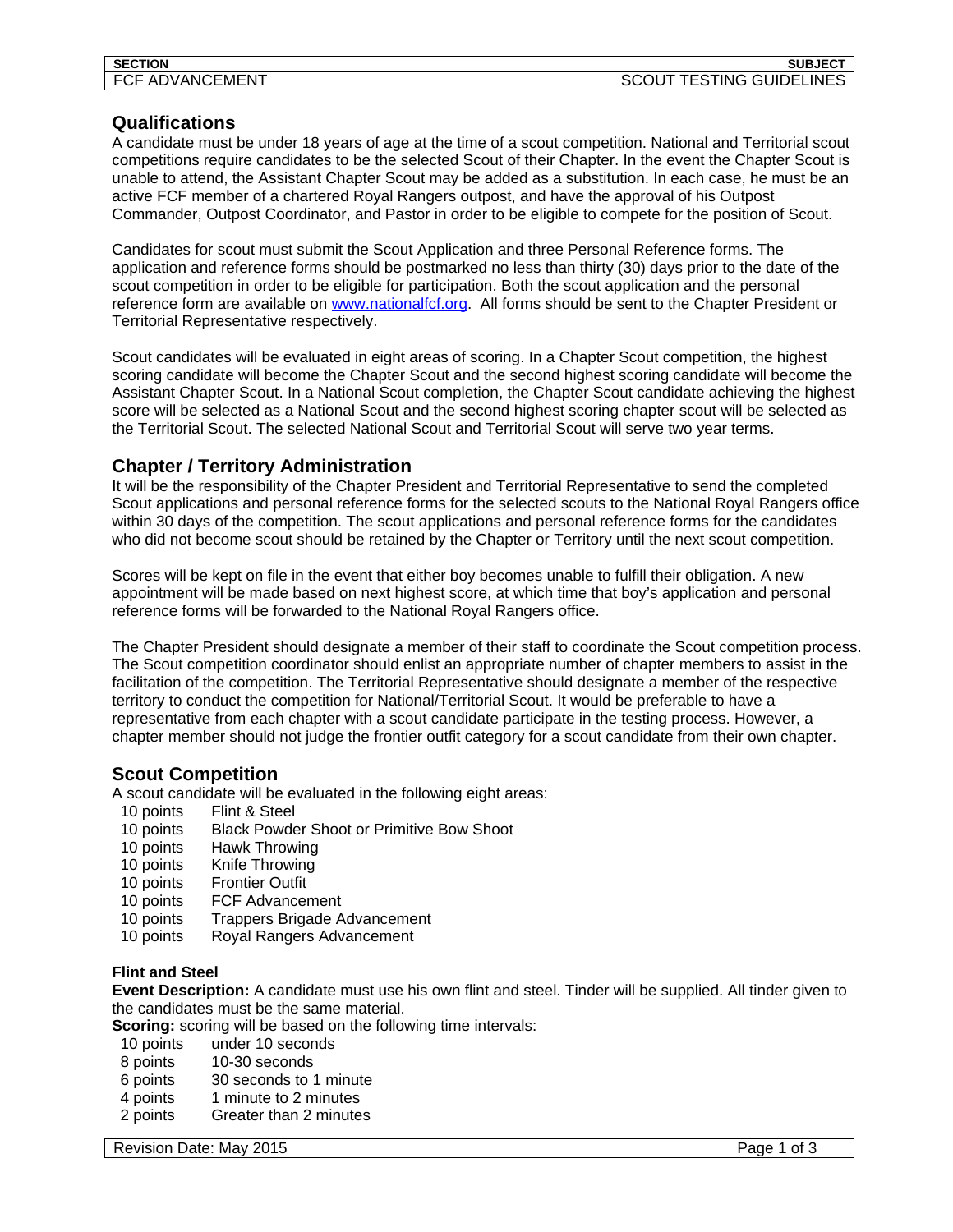| <b>SECTION</b>                      | <b>SUBJEC</b><br>$-$           |
|-------------------------------------|--------------------------------|
| ADVANC<br><b>ECI</b><br>…EMEN∍<br>י | <b>GUIDELINES</b><br>FS<br>ING |

# **Qualifications**

A candidate must be under 18 years of age at the time of a scout competition. National and Territorial scout competitions require candidates to be the selected Scout of their Chapter. In the event the Chapter Scout is unable to attend, the Assistant Chapter Scout may be added as a substitution. In each case, he must be an active FCF member of a chartered Royal Rangers outpost, and have the approval of his Outpost Commander, Outpost Coordinator, and Pastor in order to be eligible to compete for the position of Scout.

Candidates for scout must submit the Scout Application and three Personal Reference forms. The application and reference forms should be postmarked no less than thirty (30) days prior to the date of the scout competition in order to be eligible for participation. Both the scout application and the personal reference form are available on www.nationalfcf.org. All forms should be sent to the Chapter President or Territorial Representative respectively.

Scout candidates will be evaluated in eight areas of scoring. In a Chapter Scout competition, the highest scoring candidate will become the Chapter Scout and the second highest scoring candidate will become the Assistant Chapter Scout. In a National Scout completion, the Chapter Scout candidate achieving the highest score will be selected as a National Scout and the second highest scoring chapter scout will be selected as the Territorial Scout. The selected National Scout and Territorial Scout will serve two year terms.

# **Chapter / Territory Administration**

It will be the responsibility of the Chapter President and Territorial Representative to send the completed Scout applications and personal reference forms for the selected scouts to the National Royal Rangers office within 30 days of the competition. The scout applications and personal reference forms for the candidates who did not become scout should be retained by the Chapter or Territory until the next scout competition.

Scores will be kept on file in the event that either boy becomes unable to fulfill their obligation. A new appointment will be made based on next highest score, at which time that boy's application and personal reference forms will be forwarded to the National Royal Rangers office.

The Chapter President should designate a member of their staff to coordinate the Scout competition process. The Scout competition coordinator should enlist an appropriate number of chapter members to assist in the facilitation of the competition. The Territorial Representative should designate a member of the respective territory to conduct the competition for National/Territorial Scout. It would be preferable to have a representative from each chapter with a scout candidate participate in the testing process. However, a chapter member should not judge the frontier outfit category for a scout candidate from their own chapter.

## **Scout Competition**

A scout candidate will be evaluated in the following eight areas:

- 10 points Flint & Steel
- 10 points Black Powder Shoot or Primitive Bow Shoot
- 10 points Hawk Throwing<br>10 points Knife Throwing
- Knife Throwing
- 10 points Frontier Outfit
- 10 points FCF Advancement
- 10 points Trappers Brigade Advancement
- 10 points Royal Rangers Advancement

## **Flint and Steel**

**Event Description:** A candidate must use his own flint and steel. Tinder will be supplied. All tinder given to the candidates must be the same material.

**Scoring:** scoring will be based on the following time intervals:

- 10 points under 10 seconds<br>8 points 10-30 seconds
- 10-30 seconds
- 6 points 30 seconds to 1 minute
- 4 points 1 minute to 2 minutes
- 2 points Greater than 2 minutes

Revision Date: May 2015 Page 1 of 3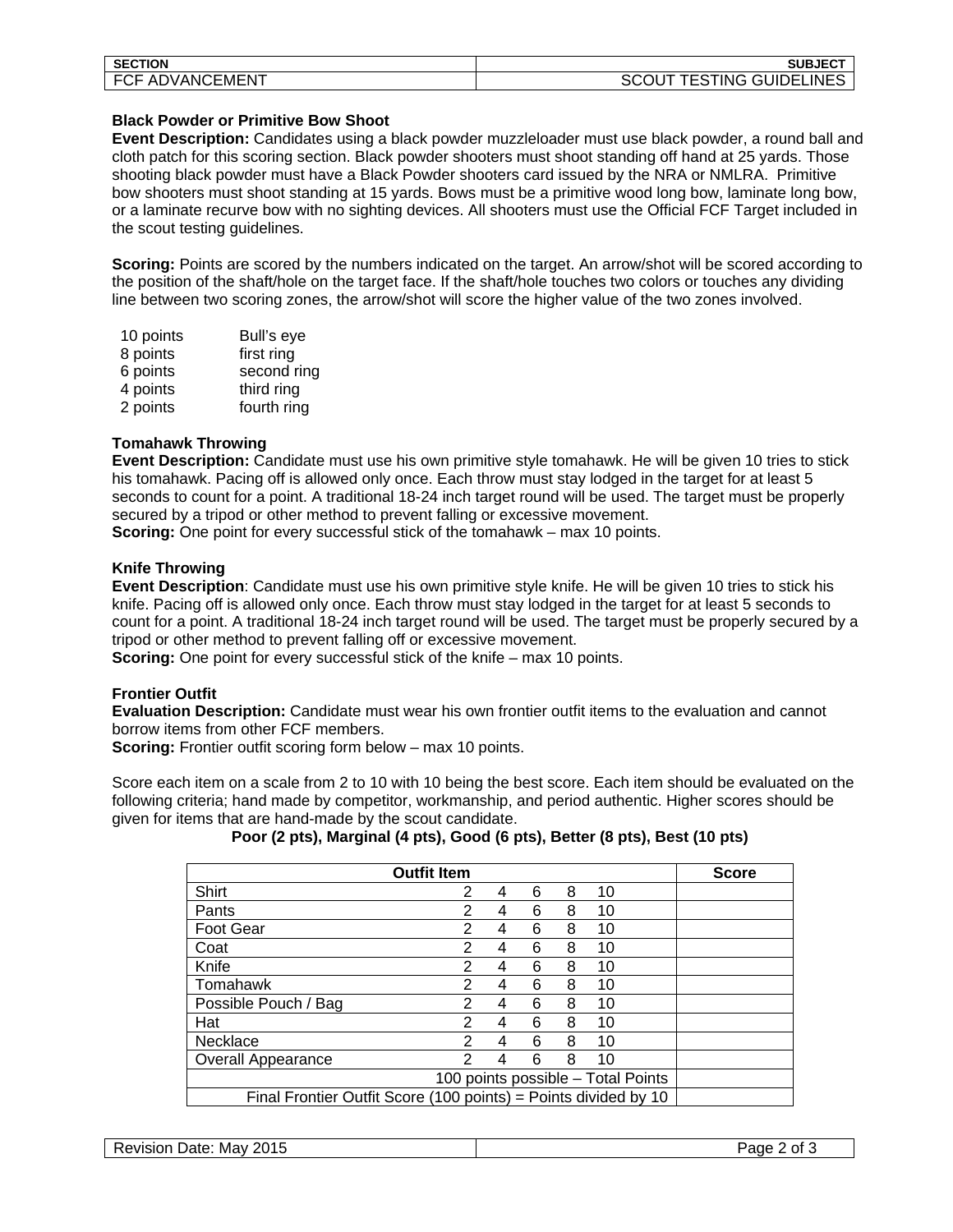| <b>SECTION</b>        | <b>SUBJECT</b>                        |
|-----------------------|---------------------------------------|
| .EMEN™<br>ADVANC<br>ັ | SC<br>ING.<br>. GUIDEL'<br>LINES<br>- |

#### **Black Powder or Primitive Bow Shoot**

**Event Description:** Candidates using a black powder muzzleloader must use black powder, a round ball and cloth patch for this scoring section. Black powder shooters must shoot standing off hand at 25 yards. Those shooting black powder must have a Black Powder shooters card issued by the NRA or NMLRA. Primitive bow shooters must shoot standing at 15 yards. Bows must be a primitive wood long bow, laminate long bow, or a laminate recurve bow with no sighting devices. All shooters must use the Official FCF Target included in the scout testing guidelines.

**Scoring:** Points are scored by the numbers indicated on the target. An arrow/shot will be scored according to the position of the shaft/hole on the target face. If the shaft/hole touches two colors or touches any dividing line between two scoring zones, the arrow/shot will score the higher value of the two zones involved.

| 10 points | Bull's eye  |
|-----------|-------------|
| 8 points  | first ring  |
| 6 points  | second ring |
| 4 points  | third ring  |
| 2 points  | fourth ring |

#### **Tomahawk Throwing**

**Event Description:** Candidate must use his own primitive style tomahawk. He will be given 10 tries to stick his tomahawk. Pacing off is allowed only once. Each throw must stay lodged in the target for at least 5 seconds to count for a point. A traditional 18-24 inch target round will be used. The target must be properly secured by a tripod or other method to prevent falling or excessive movement.

**Scoring:** One point for every successful stick of the tomahawk – max 10 points.

### **Knife Throwing**

**Event Description**: Candidate must use his own primitive style knife. He will be given 10 tries to stick his knife. Pacing off is allowed only once. Each throw must stay lodged in the target for at least 5 seconds to count for a point. A traditional 18-24 inch target round will be used. The target must be properly secured by a tripod or other method to prevent falling off or excessive movement.

**Scoring:** One point for every successful stick of the knife – max 10 points.

## **Frontier Outfit**

**Evaluation Description:** Candidate must wear his own frontier outfit items to the evaluation and cannot borrow items from other FCF members.

**Scoring:** Frontier outfit scoring form below – max 10 points.

Score each item on a scale from 2 to 10 with 10 being the best score. Each item should be evaluated on the following criteria; hand made by competitor, workmanship, and period authentic. Higher scores should be given for items that are hand-made by the scout candidate.

|                                                                 | <b>Outfit Item</b> |   |   |   |    | <b>Score</b> |
|-----------------------------------------------------------------|--------------------|---|---|---|----|--------------|
| Shirt                                                           | 2                  | 4 | 6 | 8 | 10 |              |
| Pants                                                           | 2                  | 4 | 6 | 8 | 10 |              |
| <b>Foot Gear</b>                                                | 2                  | 4 | 6 | 8 | 10 |              |
| Coat                                                            | 2                  | 4 | 6 | 8 | 10 |              |
| Knife                                                           | 2                  | 4 | 6 | 8 | 10 |              |
| Tomahawk                                                        | 2                  | 4 | 6 | 8 | 10 |              |
| Possible Pouch / Bag                                            | 2                  | 4 | 6 | 8 | 10 |              |
| Hat                                                             | 2                  | 4 | 6 | 8 | 10 |              |
| Necklace                                                        | 2                  | 4 | 6 | 8 | 10 |              |
| <b>Overall Appearance</b>                                       | 2                  | 4 | 6 | 8 | 10 |              |
| 100 points possible - Total Points                              |                    |   |   |   |    |              |
| Final Frontier Outfit Score (100 points) = Points divided by 10 |                    |   |   |   |    |              |

## **Poor (2 pts), Marginal (4 pts), Good (6 pts), Better (8 pts), Best (10 pts)**

| 2015<br>Date:<br>Revision<br>Mav | Page<br>01 |
|----------------------------------|------------|
|                                  |            |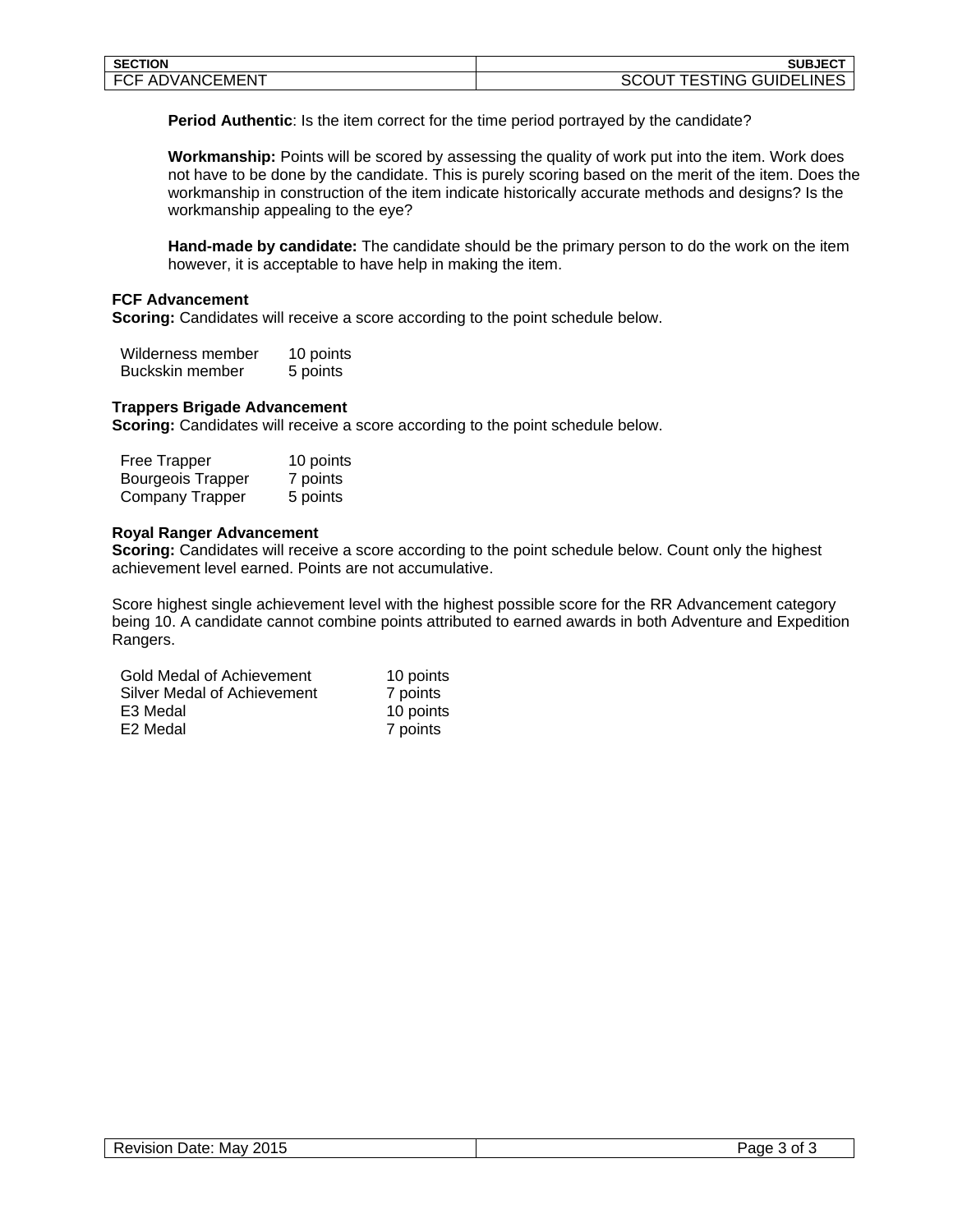| <b>SECTION</b>                      | $SUBJEC^{\intercal}$                |
|-------------------------------------|-------------------------------------|
| EC.<br>ADVANC<br>⁄EMEN.<br>. г<br>◡ | <b>CONDELINE</b><br>ING.<br>л<br>-- |

**Period Authentic**: Is the item correct for the time period portrayed by the candidate?

**Workmanship:** Points will be scored by assessing the quality of work put into the item. Work does not have to be done by the candidate. This is purely scoring based on the merit of the item. Does the workmanship in construction of the item indicate historically accurate methods and designs? Is the workmanship appealing to the eye?

**Hand-made by candidate:** The candidate should be the primary person to do the work on the item however, it is acceptable to have help in making the item.

#### **FCF Advancement**

**Scoring:** Candidates will receive a score according to the point schedule below.

| Wilderness member | 10 points |
|-------------------|-----------|
| Buckskin member   | 5 points  |

#### **Trappers Brigade Advancement**

**Scoring:** Candidates will receive a score according to the point schedule below.

| Free Trapper             | 10 points |
|--------------------------|-----------|
| <b>Bourgeois Trapper</b> | 7 points  |
| Company Trapper          | 5 points  |

#### **Royal Ranger Advancement**

**Scoring:** Candidates will receive a score according to the point schedule below. Count only the highest achievement level earned. Points are not accumulative.

Score highest single achievement level with the highest possible score for the RR Advancement category being 10. A candidate cannot combine points attributed to earned awards in both Adventure and Expedition Rangers.

| Gold Medal of Achievement   | 10 points |
|-----------------------------|-----------|
| Silver Medal of Achievement | 7 points  |
| E3 Medal                    | 10 points |
| E2 Medal                    | 7 points  |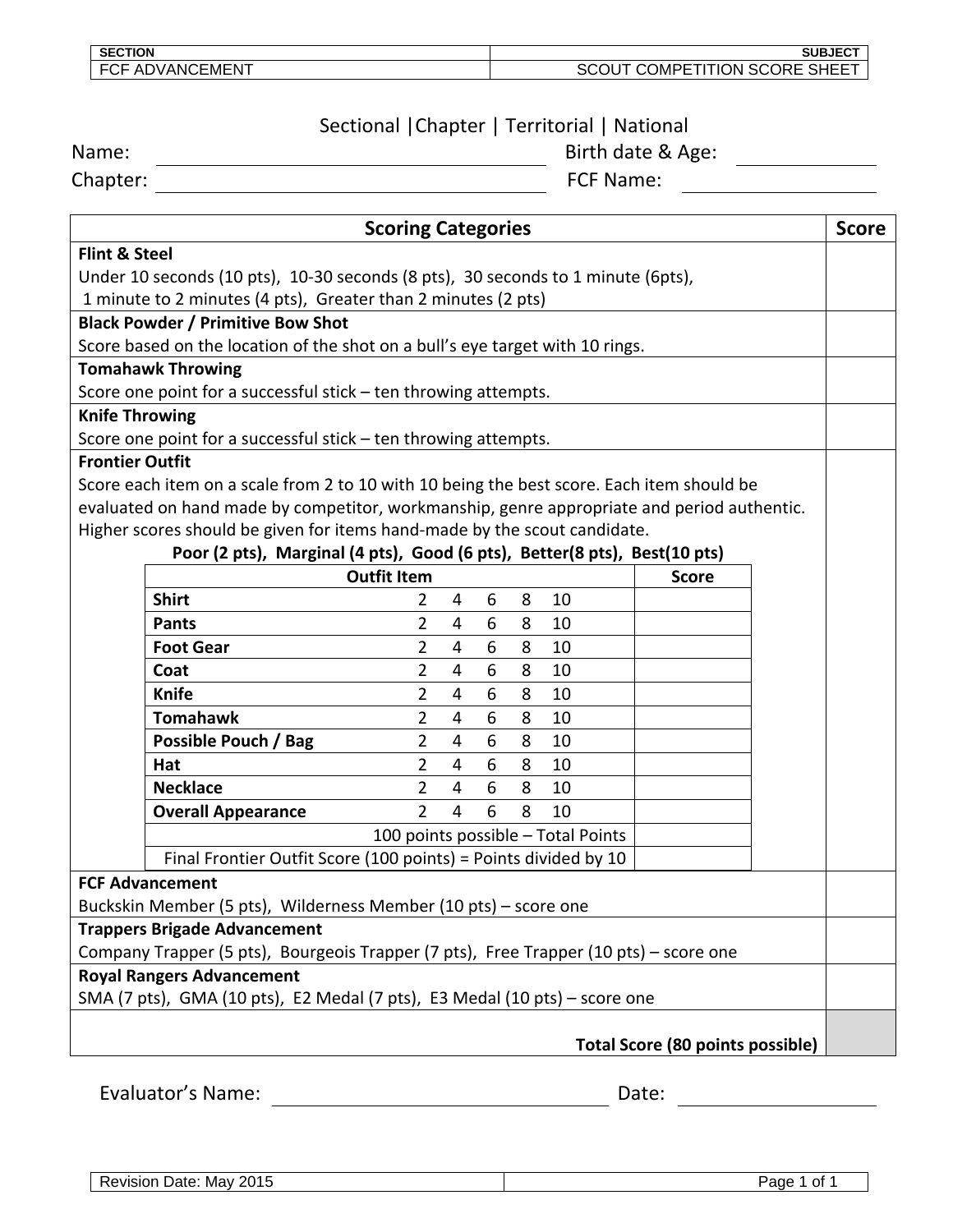| <b>SECTION</b>                    | SUBJECT<br>$-$                                                                      |
|-----------------------------------|-------------------------------------------------------------------------------------|
| FС<br>`EMEN<br>- AL<br>)VANG<br>- | <b>SCORE</b><br>$\sim$ u $=$ $ \pm$<br>٦N.<br>)MPF I L<br>жь<br>---<br>১⊓<br>╶╹┕╸┕╸ |
|                                   |                                                                                     |

# Sectional | Chapter | Territorial | National<br>Birth date & Age:

Chapter: FCF Name:

Name: Birth date & Age:

| <b>Scoring Categories</b>                                                             |                                                                                            |                    | <b>Score</b>   |   |   |    |                                         |  |
|---------------------------------------------------------------------------------------|--------------------------------------------------------------------------------------------|--------------------|----------------|---|---|----|-----------------------------------------|--|
| <b>Flint &amp; Steel</b>                                                              |                                                                                            |                    |                |   |   |    |                                         |  |
| Under 10 seconds (10 pts), 10-30 seconds (8 pts), 30 seconds to 1 minute (6pts),      |                                                                                            |                    |                |   |   |    |                                         |  |
|                                                                                       | 1 minute to 2 minutes (4 pts), Greater than 2 minutes (2 pts)                              |                    |                |   |   |    |                                         |  |
|                                                                                       | <b>Black Powder / Primitive Bow Shot</b>                                                   |                    |                |   |   |    |                                         |  |
|                                                                                       | Score based on the location of the shot on a bull's eye target with 10 rings.              |                    |                |   |   |    |                                         |  |
|                                                                                       | <b>Tomahawk Throwing</b>                                                                   |                    |                |   |   |    |                                         |  |
|                                                                                       | Score one point for a successful stick - ten throwing attempts.                            |                    |                |   |   |    |                                         |  |
| <b>Knife Throwing</b>                                                                 |                                                                                            |                    |                |   |   |    |                                         |  |
|                                                                                       | Score one point for a successful stick - ten throwing attempts.                            |                    |                |   |   |    |                                         |  |
| <b>Frontier Outfit</b>                                                                |                                                                                            |                    |                |   |   |    |                                         |  |
|                                                                                       | Score each item on a scale from 2 to 10 with 10 being the best score. Each item should be  |                    |                |   |   |    |                                         |  |
|                                                                                       | evaluated on hand made by competitor, workmanship, genre appropriate and period authentic. |                    |                |   |   |    |                                         |  |
|                                                                                       | Higher scores should be given for items hand-made by the scout candidate.                  |                    |                |   |   |    |                                         |  |
|                                                                                       | Poor (2 pts), Marginal (4 pts), Good (6 pts), Better(8 pts), Best(10 pts)                  |                    |                |   |   |    |                                         |  |
|                                                                                       |                                                                                            | <b>Outfit Item</b> |                |   |   |    | <b>Score</b>                            |  |
|                                                                                       | <b>Shirt</b>                                                                               | 2                  | 4              | 6 | 8 | 10 |                                         |  |
|                                                                                       | <b>Pants</b>                                                                               | $\overline{2}$     | $\overline{4}$ | 6 | 8 | 10 |                                         |  |
|                                                                                       | <b>Foot Gear</b>                                                                           | $\overline{2}$     | 4              | 6 | 8 | 10 |                                         |  |
|                                                                                       | Coat                                                                                       | 2                  | 4              | 6 | 8 | 10 |                                         |  |
|                                                                                       | <b>Knife</b>                                                                               | 2                  | 4              | 6 | 8 | 10 |                                         |  |
|                                                                                       | <b>Tomahawk</b>                                                                            | 2                  | $\overline{4}$ | 6 | 8 | 10 |                                         |  |
|                                                                                       | Possible Pouch / Bag                                                                       | $\overline{2}$     | 4              | 6 | 8 | 10 |                                         |  |
|                                                                                       | Hat                                                                                        | 2                  | $\overline{4}$ | 6 | 8 | 10 |                                         |  |
|                                                                                       | <b>Necklace</b>                                                                            | $\overline{2}$     | 4              | 6 | 8 | 10 |                                         |  |
|                                                                                       | <b>Overall Appearance</b>                                                                  | 2                  | 4              | 6 | 8 | 10 |                                         |  |
| 100 points possible - Total Points                                                    |                                                                                            |                    |                |   |   |    |                                         |  |
| Final Frontier Outfit Score (100 points) = Points divided by 10                       |                                                                                            |                    |                |   |   |    |                                         |  |
| <b>FCF Advancement</b>                                                                |                                                                                            |                    |                |   |   |    |                                         |  |
| Buckskin Member (5 pts), Wilderness Member (10 pts) - score one                       |                                                                                            |                    |                |   |   |    |                                         |  |
| <b>Trappers Brigade Advancement</b>                                                   |                                                                                            |                    |                |   |   |    |                                         |  |
| Company Trapper (5 pts), Bourgeois Trapper (7 pts), Free Trapper (10 pts) - score one |                                                                                            |                    |                |   |   |    |                                         |  |
|                                                                                       | <b>Royal Rangers Advancement</b>                                                           |                    |                |   |   |    |                                         |  |
|                                                                                       | SMA (7 pts), GMA (10 pts), E2 Medal (7 pts), E3 Medal (10 pts) - score one                 |                    |                |   |   |    |                                         |  |
|                                                                                       |                                                                                            |                    |                |   |   |    |                                         |  |
|                                                                                       |                                                                                            |                    |                |   |   |    | <b>Total Score (80 points possible)</b> |  |
|                                                                                       | Evaluator's Name:                                                                          |                    |                |   |   |    |                                         |  |
|                                                                                       |                                                                                            |                    |                |   |   |    | Date:                                   |  |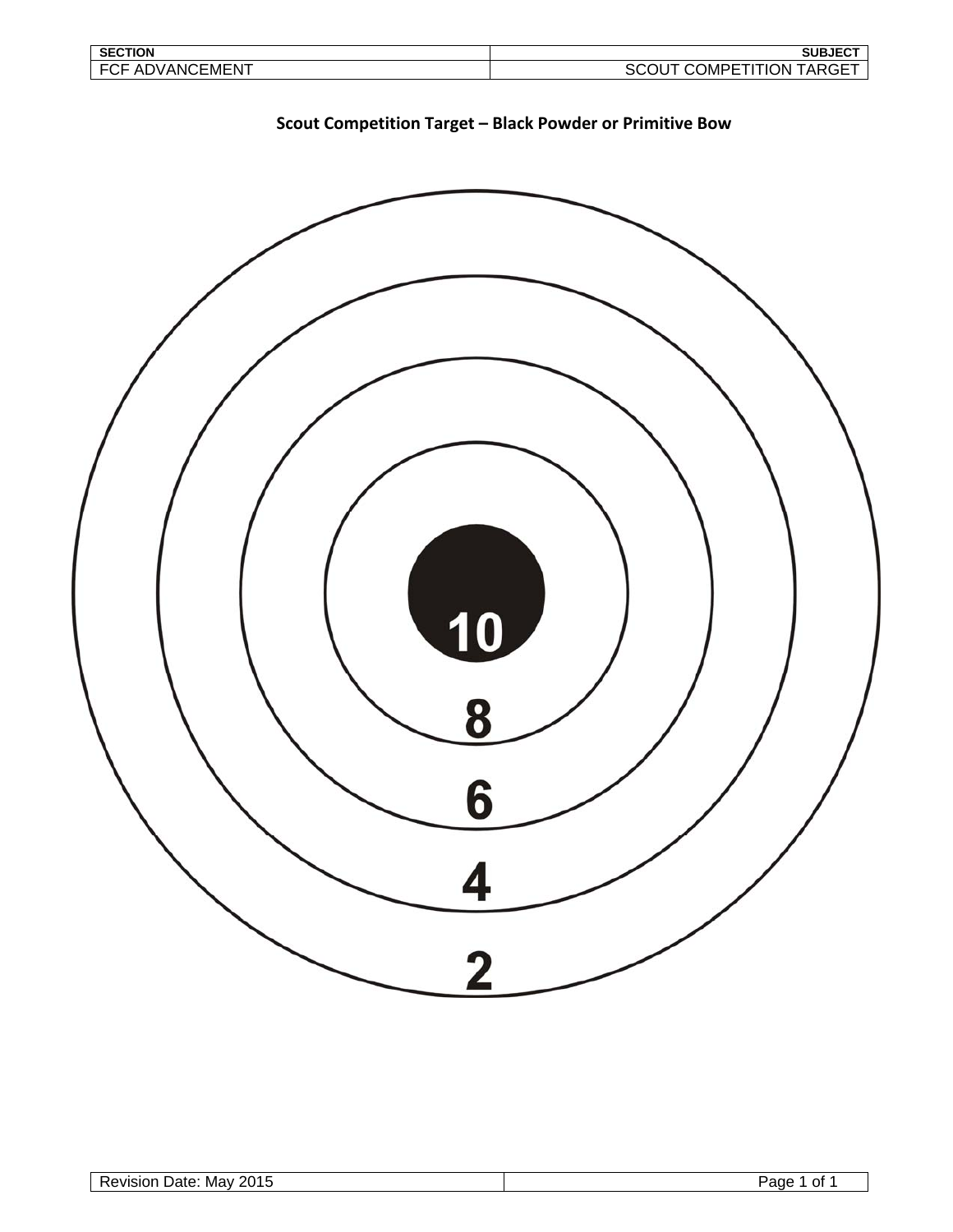| <b>SECTION</b>          | <b>SUBJECT</b>                                                  |
|-------------------------|-----------------------------------------------------------------|
| ЕC<br>ADVANCEMENT<br>◡┎ | :OMPETI <sup>-</sup><br>TION.<br><b>TARGE</b><br>SUU<br>ີ<br>-- |



**Scout Competition Target – Black Powder or Primitive Bow**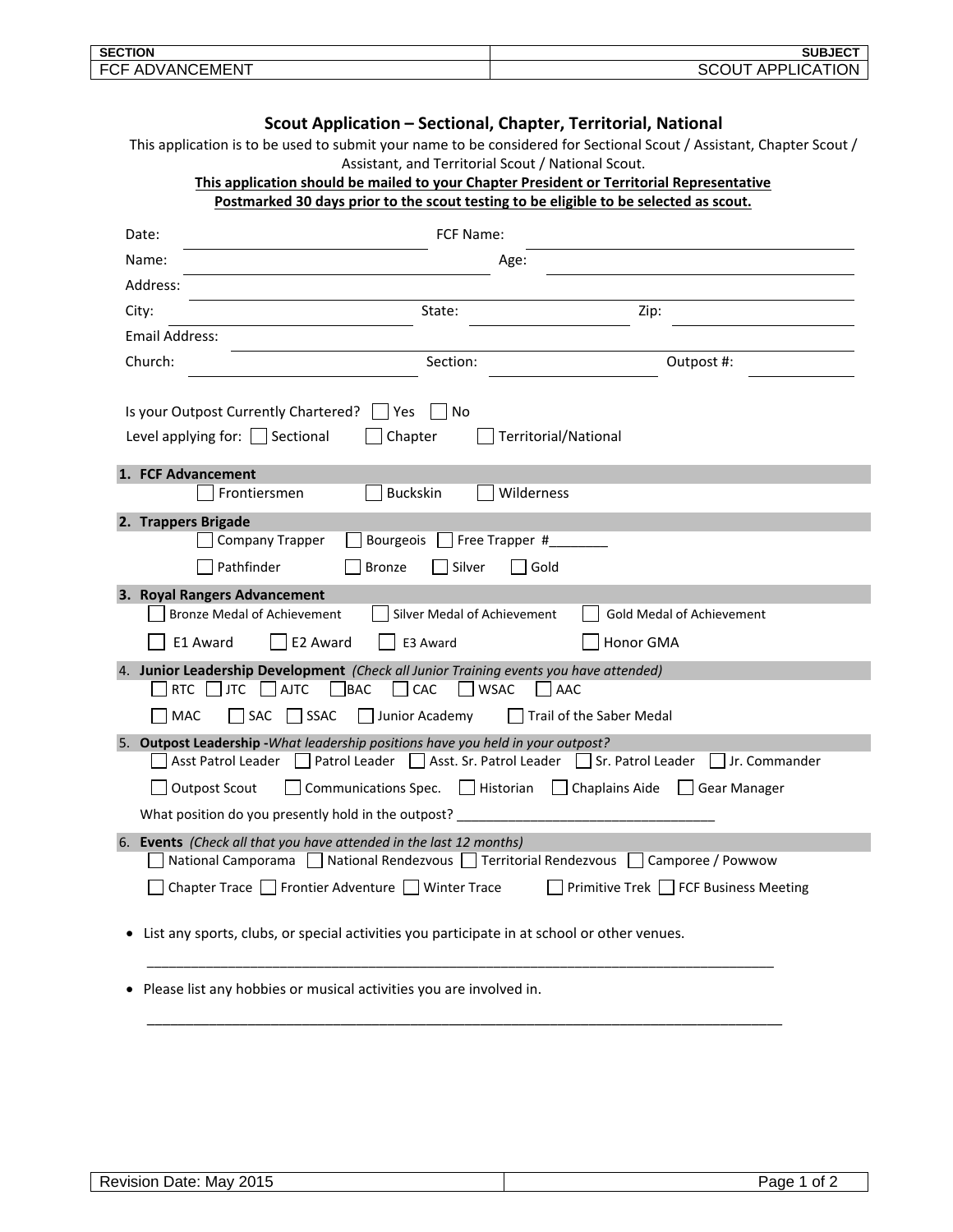| <b>SECTION</b> | SUBJECT  |
|----------------|----------|
| $-1$           | ١N       |
| - ⊏′           | $\Delta$ |
| ⊢M⊢N           | .        |
| ADVANC         | י        |
| .              | ¬ เ      |

| Scout Application - Sectional, Chapter, Territorial, National      |                                                                                                                                                                      |                                            |  |
|--------------------------------------------------------------------|----------------------------------------------------------------------------------------------------------------------------------------------------------------------|--------------------------------------------|--|
|                                                                    | This application is to be used to submit your name to be considered for Sectional Scout / Assistant, Chapter Scout /                                                 |                                            |  |
|                                                                    | Assistant, and Territorial Scout / National Scout.<br>This application should be mailed to your Chapter President or Territorial Representative                      |                                            |  |
|                                                                    | Postmarked 30 days prior to the scout testing to be eligible to be selected as scout.                                                                                |                                            |  |
| Date:                                                              | FCF Name:                                                                                                                                                            |                                            |  |
| Name:                                                              | Age:                                                                                                                                                                 |                                            |  |
| Address:                                                           |                                                                                                                                                                      |                                            |  |
| City:                                                              | State:                                                                                                                                                               | Zip:                                       |  |
| Email Address:                                                     |                                                                                                                                                                      |                                            |  |
| Church:                                                            | Section:                                                                                                                                                             | Outpost #:                                 |  |
|                                                                    |                                                                                                                                                                      |                                            |  |
|                                                                    | Is your Outpost Currently Chartered?<br>Yes<br>$\overline{\phantom{a}}$ No                                                                                           |                                            |  |
|                                                                    | Level applying for: $\Box$ Sectional<br>Chapter<br>Territorial/National                                                                                              |                                            |  |
|                                                                    | 1. FCF Advancement                                                                                                                                                   |                                            |  |
|                                                                    | <b>Buckskin</b><br>Wilderness<br>Frontiersmen                                                                                                                        |                                            |  |
|                                                                    | 2. Trappers Brigade                                                                                                                                                  |                                            |  |
|                                                                    | <b>Company Trapper</b><br>Bourgeois<br>Free Trapper #                                                                                                                |                                            |  |
|                                                                    | Pathfinder<br>Silver<br><b>Bronze</b><br>Gold                                                                                                                        |                                            |  |
|                                                                    | 3. Royal Rangers Advancement                                                                                                                                         |                                            |  |
|                                                                    | <b>Bronze Medal of Achievement</b><br>Silver Medal of Achievement                                                                                                    | <b>Gold Medal of Achievement</b>           |  |
|                                                                    | E2 Award<br>E1 Award<br>E3 Award                                                                                                                                     | Honor GMA                                  |  |
|                                                                    | 4. Junior Leadership Development (Check all Junior Training events you have attended)                                                                                |                                            |  |
|                                                                    | BAC<br>CAC<br><b>RTC</b><br><b>JTC</b><br>$\Box$ AJTC<br><b>WSAC</b><br>AAC                                                                                          |                                            |  |
|                                                                    | MAC<br>SSAC<br>SAC<br>Junior Academy                                                                                                                                 | Trail of the Saber Medal                   |  |
|                                                                    | 5. Outpost Leadership - What leadership positions have you held in your outpost?<br>Asst Patrol Leader   Patrol Leader   Asst. Sr. Patrol Leader   Sr. Patrol Leader | Jr. Commander                              |  |
|                                                                    | Historian<br>$\Box$ Chaplains Aide<br><b>Outpost Scout</b><br><b>Communications Spec.</b><br>  Gear Manager                                                          |                                            |  |
|                                                                    | What position do you presently hold in the outpost?                                                                                                                  |                                            |  |
|                                                                    | 6. Events (Check all that you have attended in the last 12 months)                                                                                                   |                                            |  |
|                                                                    | National Camporama   National Rendezvous   Territorial Rendezvous   Camporee / Powwow                                                                                |                                            |  |
|                                                                    | Chapter Trace □ Frontier Adventure □ Winter Trace                                                                                                                    | Primitive Trek <b>FCF</b> Business Meeting |  |
|                                                                    | List any sports, clubs, or special activities you participate in at school or other venues.                                                                          |                                            |  |
| Please list any hobbies or musical activities you are involved in. |                                                                                                                                                                      |                                            |  |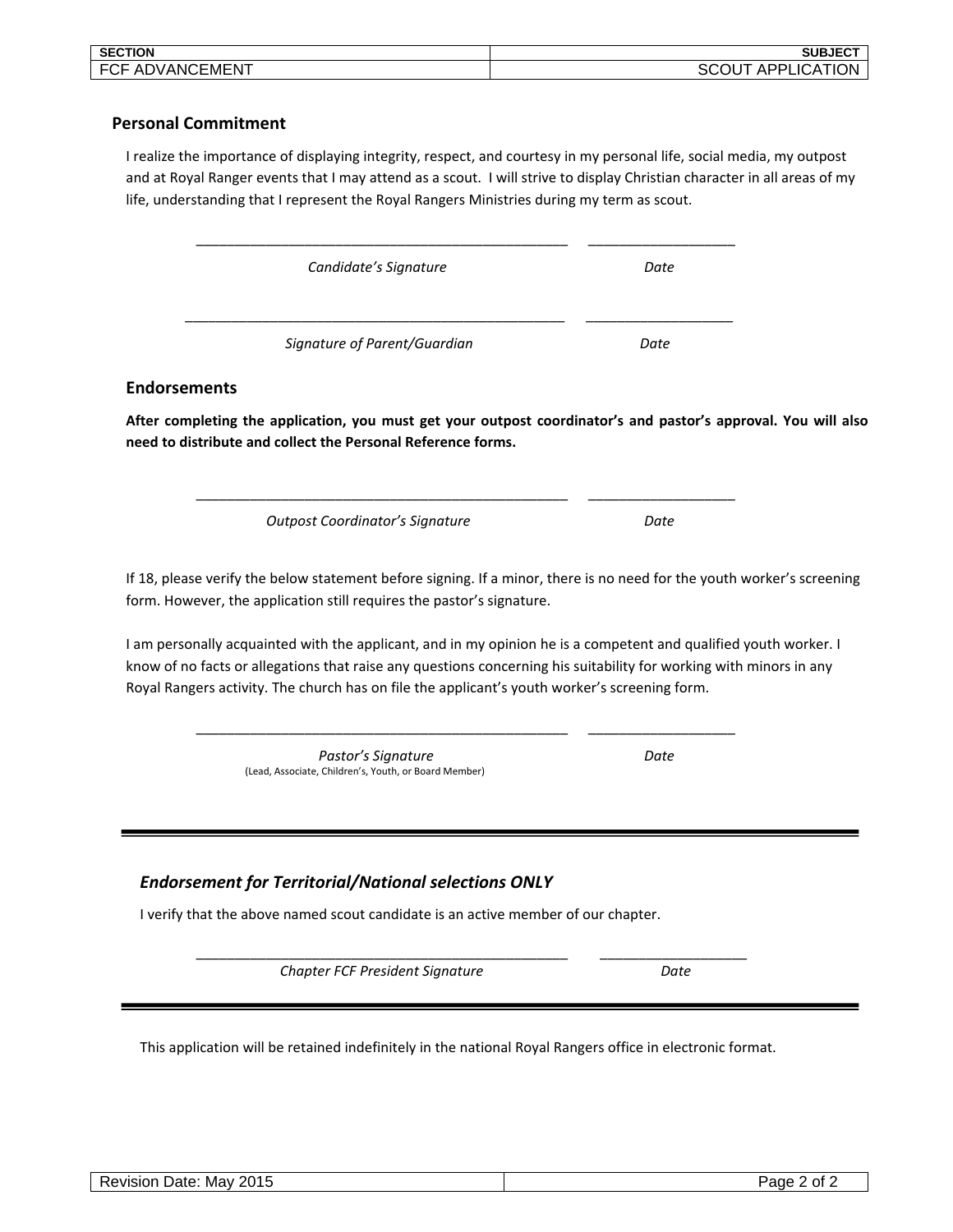| <b>SECTION</b>          | <b>SUBJECT</b>                               |
|-------------------------|----------------------------------------------|
| ADVANC'<br>ICEMEN1<br>◡ | ATION<br>יים ה<br>LICA<br>ш<br>эU<br>¬ப<br>ີ |

## **Personal Commitment**

I realize the importance of displaying integrity, respect, and courtesy in my personal life, social media, my outpost and at Royal Ranger events that I may attend as a scout. I will strive to display Christian character in all areas of my life, understanding that I represent the Royal Rangers Ministries during my term as scout.

| Candidate's Signature                                                                                                                            |                                                                                                                                                                                                                                                                                                                                         | Date |  |
|--------------------------------------------------------------------------------------------------------------------------------------------------|-----------------------------------------------------------------------------------------------------------------------------------------------------------------------------------------------------------------------------------------------------------------------------------------------------------------------------------------|------|--|
|                                                                                                                                                  |                                                                                                                                                                                                                                                                                                                                         |      |  |
|                                                                                                                                                  | Signature of Parent/Guardian                                                                                                                                                                                                                                                                                                            | Date |  |
| <b>Endorsements</b>                                                                                                                              |                                                                                                                                                                                                                                                                                                                                         |      |  |
| need to distribute and collect the Personal Reference forms.                                                                                     | After completing the application, you must get your outpost coordinator's and pastor's approval. You will also                                                                                                                                                                                                                          |      |  |
|                                                                                                                                                  | <b>Outpost Coordinator's Signature</b>                                                                                                                                                                                                                                                                                                  | Date |  |
|                                                                                                                                                  | If 18, please verify the below statement before signing. If a minor, there is no need for the youth worker's screening<br>form. However, the application still requires the pastor's signature.                                                                                                                                         |      |  |
|                                                                                                                                                  | I am personally acquainted with the applicant, and in my opinion he is a competent and qualified youth worker. I<br>know of no facts or allegations that raise any questions concerning his suitability for working with minors in any<br>Royal Rangers activity. The church has on file the applicant's youth worker's screening form. |      |  |
|                                                                                                                                                  | Pastor's Signature<br>(Lead, Associate, Children's, Youth, or Board Member)                                                                                                                                                                                                                                                             | Date |  |
| <b>Endorsement for Territorial/National selections ONLY</b><br>I verify that the above named scout candidate is an active member of our chapter. |                                                                                                                                                                                                                                                                                                                                         |      |  |
|                                                                                                                                                  | Chapter FCF President Signature                                                                                                                                                                                                                                                                                                         | Date |  |
|                                                                                                                                                  |                                                                                                                                                                                                                                                                                                                                         |      |  |

This application will be retained indefinitely in the national Royal Rangers office in electronic format.